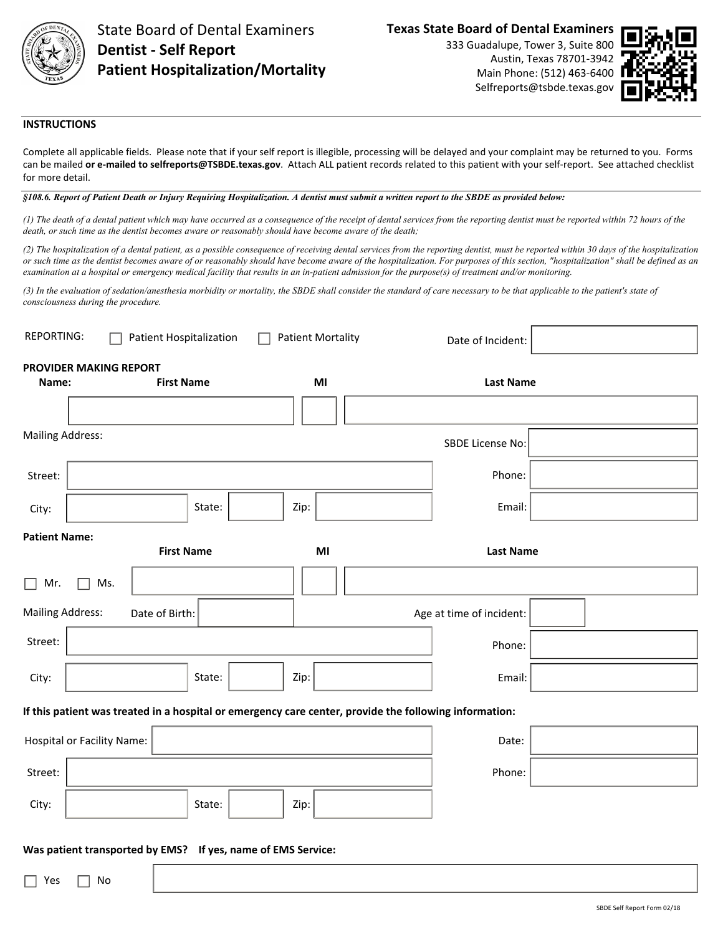

State Board of Dental Examiners **Dentist - Self Report Patient Hospitalization/Mortality** **Texas State Board of Dental Examiners** 

333 Guadalupe, Tower 3, Suite 800 Austin, Texas 78701-3942 Main Phone: (512) 463-6400 Selfreports@tsbde.texas.gov



#### **INSTRUCTIONS**

Complete all applicable fields. Please note that if your self report is illegible, processing will be delayed and your complaint may be returned to you. Forms can be mailed **or e-mailed to selfreports@TSBDE.texas.gov**. Attach ALL patient records related to this patient with your self-report. See attached checklist for more detail.

#### *§108.6. Report of Patient Death or Injury Requiring Hospitalization. A dentist must submit a written report to the SBDE as provided below:*

*(1) The death of a dental patient which may have occurred as a consequence of the receipt of dental services from the reporting dentist must be reported within 72 hours of the death, or such time as the dentist becomes aware or reasonably should have become aware of the death;*

*(2) The hospitalization of a dental patient, as a possible consequence of receiving dental services from the reporting dentist, must be reported within 30 days of the hospitalization or such time as the dentist becomes aware of or reasonably should have become aware of the hospitalization. For purposes of this section, "hospitalization" shall be defined as an examination at a hospital or emergency medical facility that results in an in-patient admission for the purpose(s) of treatment and/or monitoring.* 

*(3) In the evaluation of sedation/anesthesia morbidity or mortality, the SBDE shall consider the standard of care necessary to be that applicable to the patient's state of consciousness during the procedure.*

| <b>REPORTING:</b>       | Patient Hospitalization                                                                                | <b>Patient Mortality</b> | Date of Incident:        |  |
|-------------------------|--------------------------------------------------------------------------------------------------------|--------------------------|--------------------------|--|
|                         | PROVIDER MAKING REPORT                                                                                 |                          |                          |  |
| Name:                   | <b>First Name</b>                                                                                      | MI                       | <b>Last Name</b>         |  |
|                         |                                                                                                        |                          |                          |  |
| <b>Mailing Address:</b> |                                                                                                        |                          | <b>SBDE License No:</b>  |  |
| Street:                 |                                                                                                        |                          | Phone:                   |  |
| City:                   | State:                                                                                                 | Zip:                     | Email:                   |  |
| <b>Patient Name:</b>    |                                                                                                        |                          |                          |  |
|                         | <b>First Name</b>                                                                                      | MI                       | <b>Last Name</b>         |  |
| $\Box$ Mr.              | Ms.                                                                                                    |                          |                          |  |
| <b>Mailing Address:</b> | Date of Birth:                                                                                         |                          | Age at time of incident: |  |
| Street:                 |                                                                                                        |                          | Phone:                   |  |
| City:                   | State:                                                                                                 | Zip:                     | Email:                   |  |
|                         | If this patient was treated in a hospital or emergency care center, provide the following information: |                          |                          |  |
|                         | <b>Hospital or Facility Name:</b>                                                                      |                          | Date:                    |  |
| Street:                 |                                                                                                        |                          | Phone:                   |  |
| City:                   | State:                                                                                                 | Zip:                     |                          |  |
|                         | Was patient transported by EMS? If yes, name of EMS Service:                                           |                          |                          |  |
| $\Box$ Yes              | No                                                                                                     |                          |                          |  |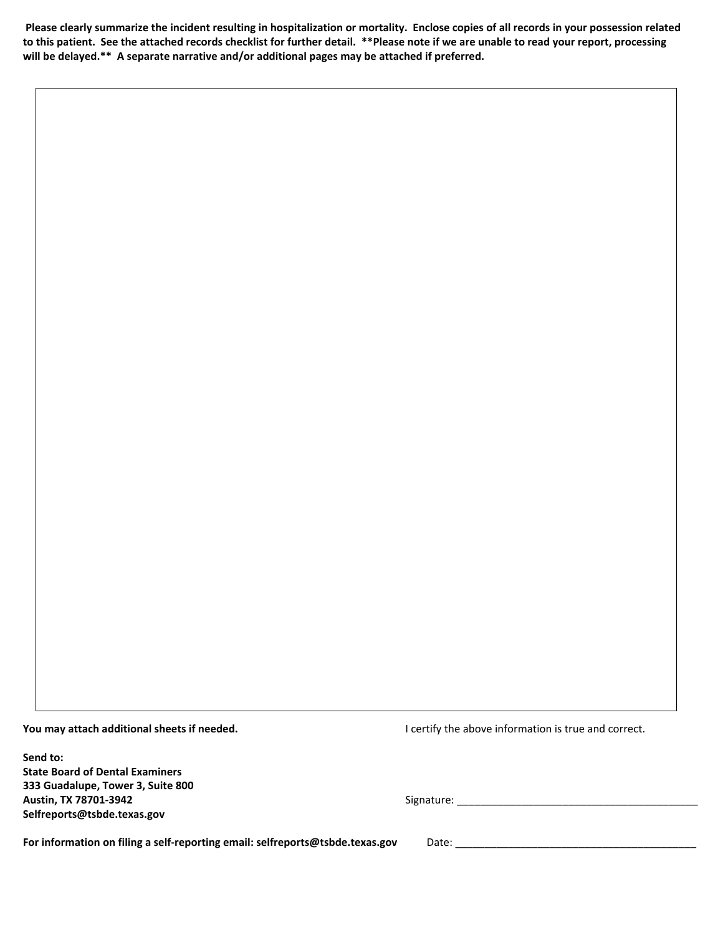**Please clearly summarize the incident resulting in hospitalization or mortality. Enclose copies of all records in your possession related to this patient. See the attached records checklist for further detail. \*\*Please note if we are unable to read your report, processing will be delayed.\*\* A separate narrative and/or additional pages may be attached if preferred.** 

**You may attach additional sheets if needed.** 

**Send to: State Board of Dental Examiners 333 Guadalupe, Tower 3, Suite 800 Austin, TX 78701-3942 Selfreports@tsbde.texas.gov** 

Signature: \_\_\_\_\_\_\_\_\_\_\_\_\_\_\_\_\_\_\_\_\_\_\_\_\_\_\_\_\_\_\_\_\_\_\_\_\_\_\_\_\_

**For information on filing a self-reporting email: selfreports@tsbde.texas.gov** 

Date: \_\_\_\_\_\_\_\_\_\_\_\_\_\_\_\_\_\_\_\_\_\_\_\_\_\_\_\_\_\_\_\_\_\_\_\_\_\_\_\_\_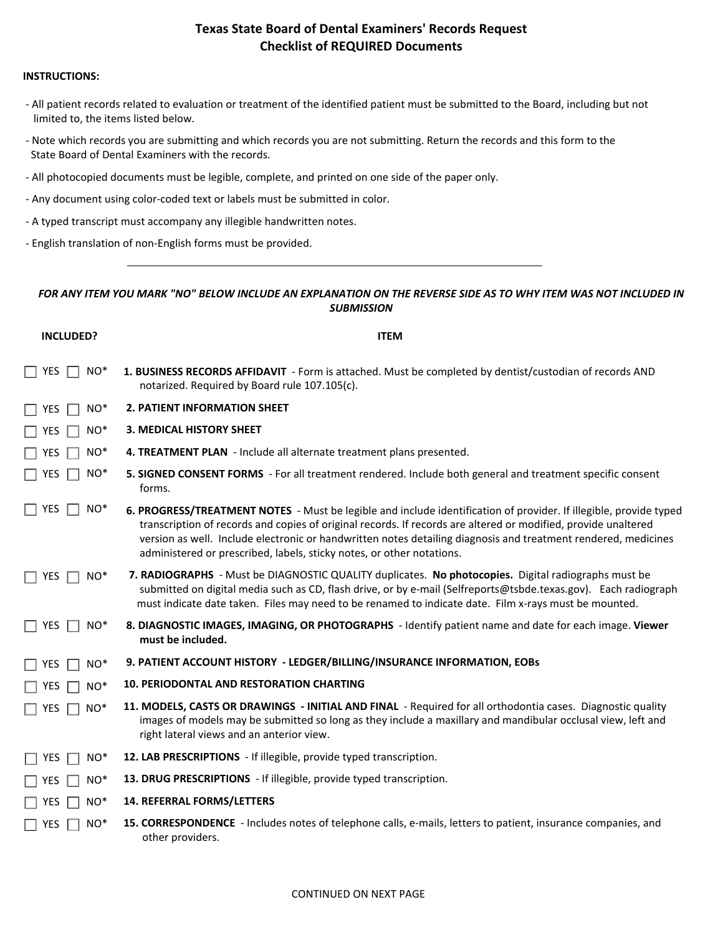## **Texas State Board of Dental Examiners' Records Request Checklist of REQUIRED Documents**

#### **INSTRUCTIONS:**

- All patient records related to evaluation or treatment of the identified patient must be submitted to the Board, including but not limited to, the items listed below.
- Note which records you are submitting and which records you are not submitting. Return the records and this form to the State Board of Dental Examiners with the records.
- All photocopied documents must be legible, complete, and printed on one side of the paper only.
- Any document using color-coded text or labels must be submitted in color.
- A typed transcript must accompany any illegible handwritten notes.
- English translation of non-English forms must be provided.

#### *FOR ANY ITEM YOU MARK "NO" BELOW INCLUDE AN EXPLANATION ON THE REVERSE SIDE AS TO WHY ITEM WAS NOT INCLUDED IN SUBMISSION*

| <b>INCLUDED?</b>              | <b>ITEM</b>                                                                                                                                                                                                                                                                                                                                                                                                                    |
|-------------------------------|--------------------------------------------------------------------------------------------------------------------------------------------------------------------------------------------------------------------------------------------------------------------------------------------------------------------------------------------------------------------------------------------------------------------------------|
| YES<br>NO <sup>*</sup>        | 1. BUSINESS RECORDS AFFIDAVIT - Form is attached. Must be completed by dentist/custodian of records AND<br>notarized. Required by Board rule 107.105(c).                                                                                                                                                                                                                                                                       |
| $NO^*$<br><b>YES</b>          | <b>2. PATIENT INFORMATION SHEET</b>                                                                                                                                                                                                                                                                                                                                                                                            |
| NO <sup>*</sup><br><b>YES</b> | <b>3. MEDICAL HISTORY SHEET</b>                                                                                                                                                                                                                                                                                                                                                                                                |
| <b>YES</b><br>NO <sup>*</sup> | 4. TREATMENT PLAN - Include all alternate treatment plans presented.                                                                                                                                                                                                                                                                                                                                                           |
| $NO^*$<br><b>YES</b>          | 5. SIGNED CONSENT FORMS - For all treatment rendered. Include both general and treatment specific consent<br>forms.                                                                                                                                                                                                                                                                                                            |
| NO <sup>*</sup><br><b>YES</b> | 6. PROGRESS/TREATMENT NOTES - Must be legible and include identification of provider. If illegible, provide typed<br>transcription of records and copies of original records. If records are altered or modified, provide unaltered<br>version as well. Include electronic or handwritten notes detailing diagnosis and treatment rendered, medicines<br>administered or prescribed, labels, sticky notes, or other notations. |
| <b>YES</b><br>NO <sup>*</sup> | 7. RADIOGRAPHS - Must be DIAGNOSTIC QUALITY duplicates. No photocopies. Digital radiographs must be<br>submitted on digital media such as CD, flash drive, or by e-mail (Selfreports@tsbde.texas.gov). Each radiograph<br>must indicate date taken. Files may need to be renamed to indicate date. Film x-rays must be mounted.                                                                                                |
| <b>YES</b><br>NO <sup>*</sup> | 8. DIAGNOSTIC IMAGES, IMAGING, OR PHOTOGRAPHS - Identify patient name and date for each image. Viewer<br>must be included.                                                                                                                                                                                                                                                                                                     |
| NO <sup>*</sup><br><b>YES</b> | 9. PATIENT ACCOUNT HISTORY - LEDGER/BILLING/INSURANCE INFORMATION, EOBs                                                                                                                                                                                                                                                                                                                                                        |
| $NO^*$<br>YES.                | <b>10. PERIODONTAL AND RESTORATION CHARTING</b>                                                                                                                                                                                                                                                                                                                                                                                |
| NO <sup>*</sup><br><b>YES</b> | 11. MODELS, CASTS OR DRAWINGS - INITIAL AND FINAL - Required for all orthodontia cases. Diagnostic quality<br>images of models may be submitted so long as they include a maxillary and mandibular occlusal view, left and<br>right lateral views and an anterior view.                                                                                                                                                        |
| NO <sup>*</sup><br>YES.       | 12. LAB PRESCRIPTIONS - If illegible, provide typed transcription.                                                                                                                                                                                                                                                                                                                                                             |
| NO <sup>*</sup><br><b>YES</b> | 13. DRUG PRESCRIPTIONS - If illegible, provide typed transcription.                                                                                                                                                                                                                                                                                                                                                            |
| NO <sup>*</sup><br>YES.       | <b>14. REFERRAL FORMS/LETTERS</b>                                                                                                                                                                                                                                                                                                                                                                                              |
| NO <sup>*</sup><br>YES.       | 15. CORRESPONDENCE - Includes notes of telephone calls, e-mails, letters to patient, insurance companies, and<br>other providers.                                                                                                                                                                                                                                                                                              |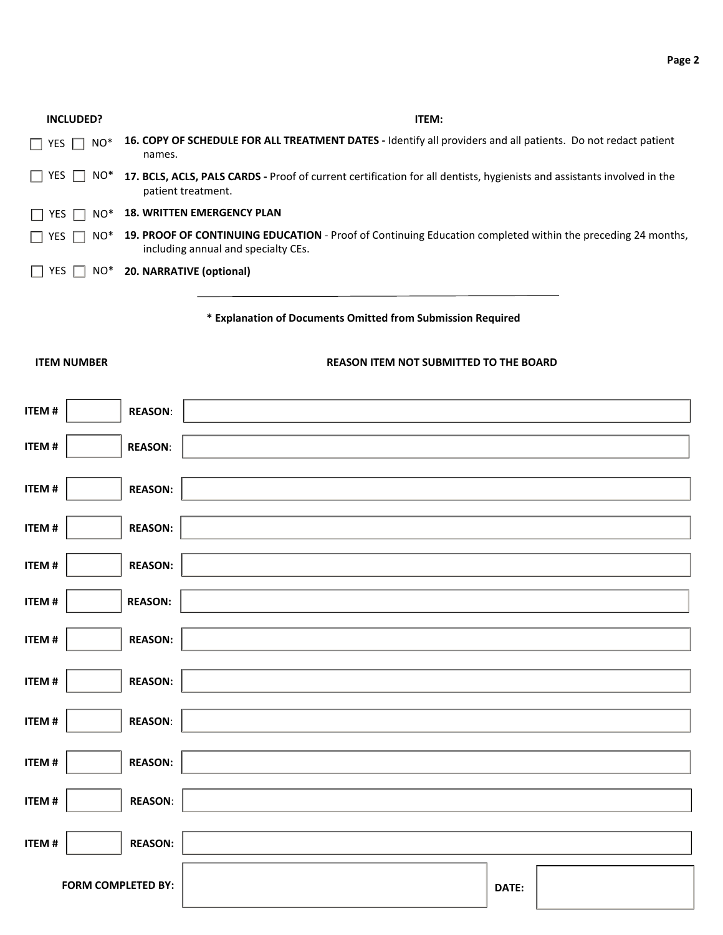| <b>INCLUDED?</b>                     | <b>ITEM:</b>                                                                                                                                       |
|--------------------------------------|----------------------------------------------------------------------------------------------------------------------------------------------------|
| NO <sup>*</sup><br>$\Box$ YES $\Box$ | 16. COPY OF SCHEDULE FOR ALL TREATMENT DATES - Identify all providers and all patients. Do not redact patient<br>names.                            |
| $\Box$ YES $\Box$ NO <sup>*</sup>    | 17. BCLS, ACLS, PALS CARDS - Proof of current certification for all dentists, hygienists and assistants involved in the<br>patient treatment.      |
| $NO^*$<br>II YES                     | <b>18. WRITTEN EMERGENCY PLAN</b>                                                                                                                  |
| $NO^*$<br>$\Box$ YES $\Box$          | 19. PROOF OF CONTINUING EDUCATION - Proof of Continuing Education completed within the preceding 24 months,<br>including annual and specialty CEs. |
| $NO^*$<br>$\Box$ YES T               | 20. NARRATIVE (optional)                                                                                                                           |

**\* Explanation of Documents Omitted from Submission Required** 

**ITEM NUMBER REASON ITEM NOT SUBMITTED TO THE BOARD** 

| ITEM #       | <b>REASON:</b>     |  |  |  |  |  |       |  |  |  |
|--------------|--------------------|--|--|--|--|--|-------|--|--|--|
| ITEM #       | <b>REASON:</b>     |  |  |  |  |  |       |  |  |  |
| ITEM #       | <b>REASON:</b>     |  |  |  |  |  |       |  |  |  |
| ITEM #       | <b>REASON:</b>     |  |  |  |  |  |       |  |  |  |
| ITEM #       | <b>REASON:</b>     |  |  |  |  |  |       |  |  |  |
| ITEM #       | <b>REASON:</b>     |  |  |  |  |  |       |  |  |  |
| ITEM #       | <b>REASON:</b>     |  |  |  |  |  |       |  |  |  |
| ITEM #       | <b>REASON:</b>     |  |  |  |  |  |       |  |  |  |
| ITEM #       | <b>REASON:</b>     |  |  |  |  |  |       |  |  |  |
| ITEM #       | <b>REASON:</b>     |  |  |  |  |  |       |  |  |  |
| ITEM #       | <b>REASON:</b>     |  |  |  |  |  |       |  |  |  |
| <b>ITEM#</b> | <b>REASON:</b>     |  |  |  |  |  |       |  |  |  |
|              | FORM COMPLETED BY: |  |  |  |  |  | DATE: |  |  |  |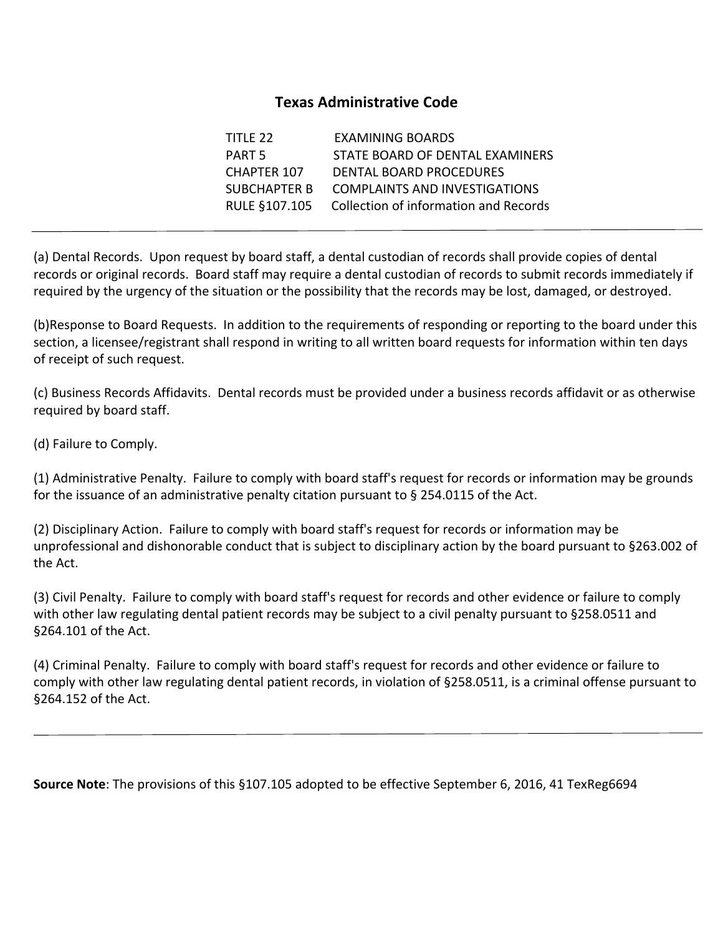# **Texas Administrative Code**

| TITI F 22    | EXAMINING BOARDS                                    |
|--------------|-----------------------------------------------------|
| PART 5       | STATE BOARD OF DENTAL EXAMINERS                     |
| CHAPTER 107  | DENTAL BOARD PROCEDURES                             |
| SUBCHAPTER B | COMPLAINTS AND INVESTIGATIONS                       |
|              | RULE §107.105 Collection of information and Records |
|              |                                                     |

(a) Dental Records. Upon request by board staff, a dental custodian of records shall provide copies of dental records or original records. Board staff may require a dental custodian of records to submit records immediately if required by the urgency of the situation or the possibility that the records may be lost, damaged, or destroyed.

(b)Response to Board Requests. In addition to the requirements of responding or reporting to the board under this section, a licensee/registrant shall respond in writing to all written board requests for information within ten days of receipt of such request.

(c) Business Records Affidavits. Dental records must be provided under a business records affidavit or as otherwise required by board staff.

(d) Failure to Comply.

 $\overline{a}$ 

(1) Administrative Penalty. Failure to comply with board staff's request for records or information may be grounds for the issuance of an administrative penalty citation pursuant to § 254.0115 of the Act.

(2) Disciplinary Action. Failure to comply with board staff's request for records or information may be unprofessional and dishonorable conduct that is subject to disciplinary action by the board pursuant to §263.002 of the Act.

(3) Civil Penalty. Failure to comply with board staff's request for records and other evidence or failure to comply with other law regulating dental patient records may be subject to a civil penalty pursuant to §258.0511 and §264.101 of the Act.

(4) Criminal Penalty. Failure to comply with board staff's request for records and other evidence or failure to comply with other law regulating dental patient records, in violation of §258.0511, is a criminal offense pursuant to §264.152 of the Act.

**Source Note**: The provisions of this §107.105 adopted to be effective September 6, 2016, 41 TexReg6694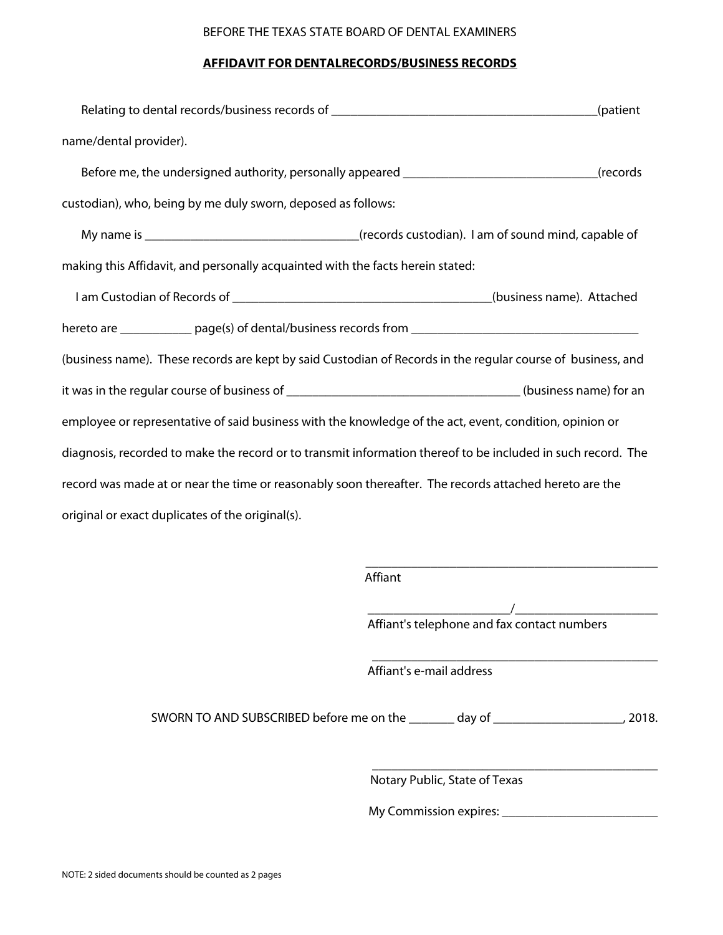#### BEFORE THE TEXAS STATE BOARD OF DENTAL EXAMINERS

## **AFFIDAVIT FOR DENTALRECORDS/BUSINESS RECORDS**

| Relating to dental records/business records of _________________________________<br>(patient                 |  |  |  |  |  |
|--------------------------------------------------------------------------------------------------------------|--|--|--|--|--|
| name/dental provider).                                                                                       |  |  |  |  |  |
| Before me, the undersigned authority, personally appeared ______________________________(records             |  |  |  |  |  |
| custodian), who, being by me duly sworn, deposed as follows:                                                 |  |  |  |  |  |
|                                                                                                              |  |  |  |  |  |
| making this Affidavit, and personally acquainted with the facts herein stated:                               |  |  |  |  |  |
|                                                                                                              |  |  |  |  |  |
|                                                                                                              |  |  |  |  |  |
| (business name). These records are kept by said Custodian of Records in the regular course of business, and  |  |  |  |  |  |
|                                                                                                              |  |  |  |  |  |
| employee or representative of said business with the knowledge of the act, event, condition, opinion or      |  |  |  |  |  |
| diagnosis, recorded to make the record or to transmit information thereof to be included in such record. The |  |  |  |  |  |
| record was made at or near the time or reasonably soon thereafter. The records attached hereto are the       |  |  |  |  |  |
| original or exact duplicates of the original(s).                                                             |  |  |  |  |  |

Affiant

 $\frac{1}{2}$  , which is the set of the set of the set of the set of the set of the set of the set of the set of the set of the set of the set of the set of the set of the set of the set of the set of the set of the set of th Affiant's telephone and fax contact numbers

\_\_\_\_\_\_\_\_\_\_\_\_\_\_\_\_\_\_\_\_\_\_\_\_\_\_\_\_\_\_\_\_\_\_\_\_\_\_\_\_\_\_\_\_\_

\_\_\_\_\_\_\_\_\_\_\_\_\_\_\_\_\_\_\_\_\_\_\_\_\_\_\_\_\_\_\_\_\_\_\_\_\_\_\_\_\_\_\_\_

Affiant's e-mail address

SWORN TO AND SUBSCRIBED before me on the \_\_\_\_\_\_\_ day of \_\_\_\_\_\_\_\_\_\_\_\_\_\_\_\_\_\_\_\_\_\_, 2018.

Notary Public, State of Texas

My Commission expires: \_\_\_\_\_\_\_\_\_\_\_\_\_\_\_\_\_\_\_\_\_\_\_\_

\_\_\_\_\_\_\_\_\_\_\_\_\_\_\_\_\_\_\_\_\_\_\_\_\_\_\_\_\_\_\_\_\_\_\_\_\_\_\_\_\_\_\_\_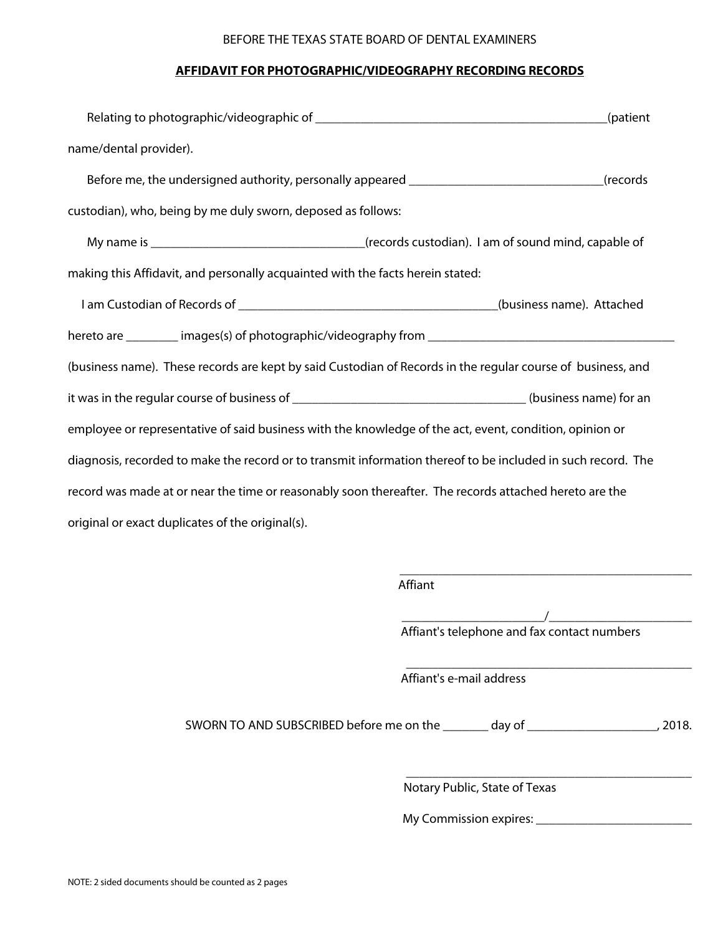## BEFORE THE TEXAS STATE BOARD OF DENTAL EXAMINERS

## **AFFIDAVIT FOR PHOTOGRAPHIC/VIDEOGRAPHY RECORDING RECORDS**

|                                                                                                              | (patient                                                                                                    |  |  |  |  |
|--------------------------------------------------------------------------------------------------------------|-------------------------------------------------------------------------------------------------------------|--|--|--|--|
| name/dental provider).                                                                                       |                                                                                                             |  |  |  |  |
| Before me, the undersigned authority, personally appeared _______________________                            | (records                                                                                                    |  |  |  |  |
| custodian), who, being by me duly sworn, deposed as follows:                                                 |                                                                                                             |  |  |  |  |
|                                                                                                              |                                                                                                             |  |  |  |  |
| making this Affidavit, and personally acquainted with the facts herein stated:                               |                                                                                                             |  |  |  |  |
|                                                                                                              |                                                                                                             |  |  |  |  |
|                                                                                                              |                                                                                                             |  |  |  |  |
|                                                                                                              | (business name). These records are kept by said Custodian of Records in the regular course of business, and |  |  |  |  |
|                                                                                                              |                                                                                                             |  |  |  |  |
| employee or representative of said business with the knowledge of the act, event, condition, opinion or      |                                                                                                             |  |  |  |  |
| diagnosis, recorded to make the record or to transmit information thereof to be included in such record. The |                                                                                                             |  |  |  |  |
| record was made at or near the time or reasonably soon thereafter. The records attached hereto are the       |                                                                                                             |  |  |  |  |
| original or exact duplicates of the original(s).                                                             |                                                                                                             |  |  |  |  |
|                                                                                                              |                                                                                                             |  |  |  |  |
|                                                                                                              | Affiant                                                                                                     |  |  |  |  |
|                                                                                                              | Affiant's telephone and fax contact numbers                                                                 |  |  |  |  |
|                                                                                                              | Affiant's e-mail address                                                                                    |  |  |  |  |

SWORN TO AND SUBSCRIBED before me on the \_\_\_\_\_\_\_ day of \_\_\_\_\_\_\_\_\_\_\_\_\_\_\_\_\_\_\_\_\_\_\_, 2018.

Notary Public, State of Texas

My Commission expires: \_\_\_\_\_\_\_\_\_\_\_\_\_\_\_\_\_\_\_\_\_\_\_\_

\_\_\_\_\_\_\_\_\_\_\_\_\_\_\_\_\_\_\_\_\_\_\_\_\_\_\_\_\_\_\_\_\_\_\_\_\_\_\_\_\_\_\_\_